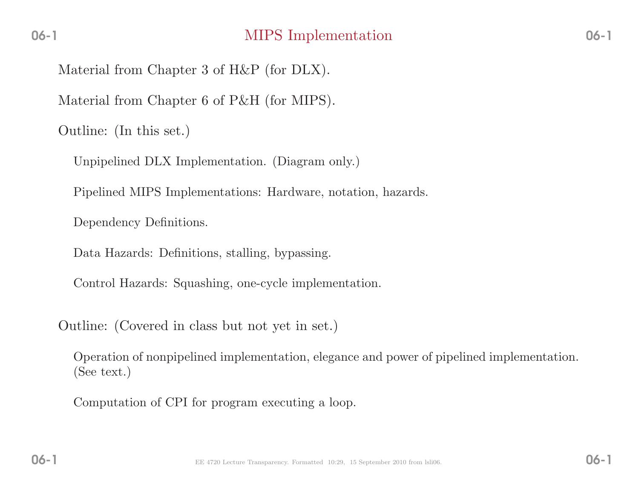Material from Chapter <sup>3</sup> of H&P (for DLX).

Material from Chapter <sup>6</sup> of P&H (for MIPS).

Outline: (In this set.)

Unpipelined DLX Implementation. (Diagram only.)

Pipelined MIPS Implementations: Hardware, notation, hazards.

Dependency Definitions.

Data Hazards: Definitions, stalling, bypassing.

Control Hazards: Squashing, one-cycle implementation.

Outline: (Covered in class but not yet in set.)

Operation of nonpipelined implementation, elegance and power of <sup>p</sup>ipelined implementation. (See text.)

Computation of CPI for program executing <sup>a</sup> loop.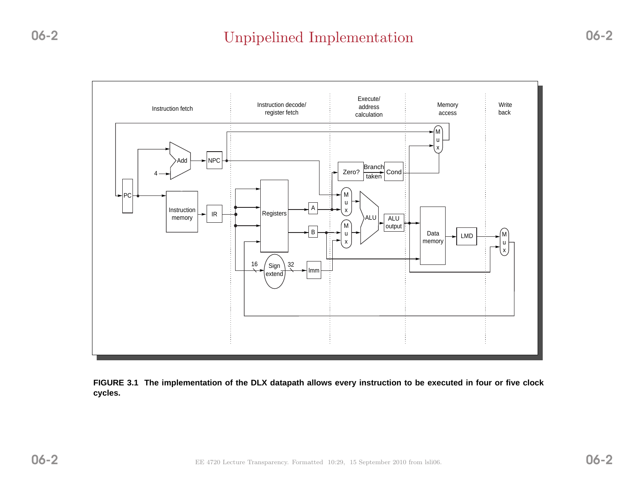# Unpipelined Implementation



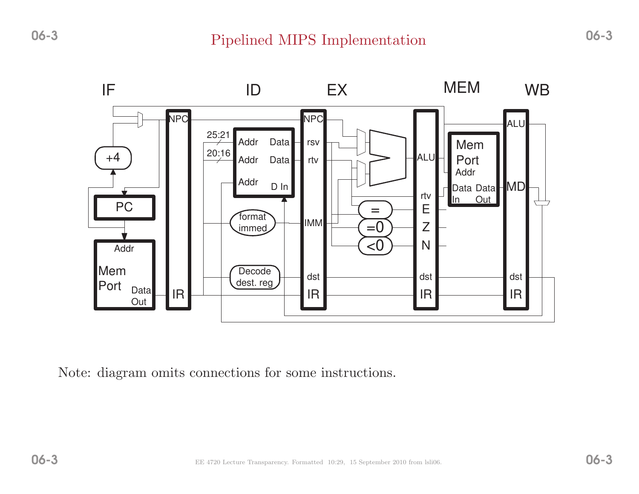

Note: diagram omits connections for some instructions.

06-3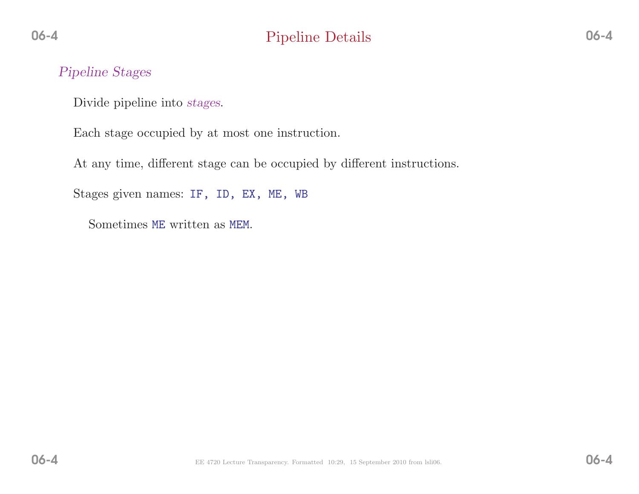#### Pipeline Stages

Divide <sup>p</sup>ipeline into stages.

Each stage occupied by at most one instruction.

At any time, different stage can be occupied by different instructions.

Stages <sup>g</sup>iven names: IF, ID, EX, ME, WB

Sometimes ME written as MEM.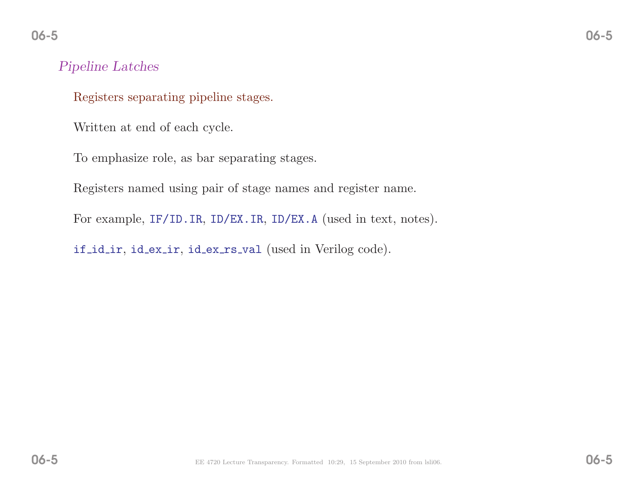### Pipeline Latches

Registers separating <sup>p</sup>ipeline stages.

Written at end of each cycle.

To emphasize role, as bar separating stages.

Registers named using pair of stage names and register name.

For example, IF/ID.IR, ID/EX.IR, ID/EX.A (used in text, notes).

if id ir, id ex ir, id ex rs val (used in Verilog code).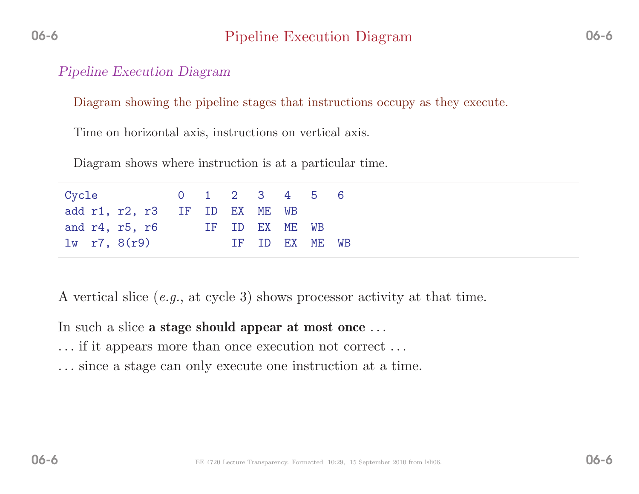#### Pipeline Execution Diagram

Diagram showing the <sup>p</sup>ipeline stages that instructions occupy as they execute.

Time on horizontal axis, instructions on vertical axis.

Diagram shows where instruction is at <sup>a</sup> particular time.

| Cycle                         |  |                | 0 1 2 3 4 5 6  |  |
|-------------------------------|--|----------------|----------------|--|
| add r1, r2, r3 IF ID EX ME WB |  |                |                |  |
| and $r4$ , $r5$ , $r6$        |  | IF ID EX ME WB |                |  |
| $1w$ r7, $8(r9)$              |  |                | IF ID EX ME WB |  |

<sup>A</sup> vertical slice (e.g., at cycle 3) shows processor activity at that time.

In such a slice  $\bf a$  stage should appear at most once  $\ldots$ 

- ... if it appears more than once execution not correct ...
- ... since <sup>a</sup> stage can only execute one instruction at <sup>a</sup> time.

06-6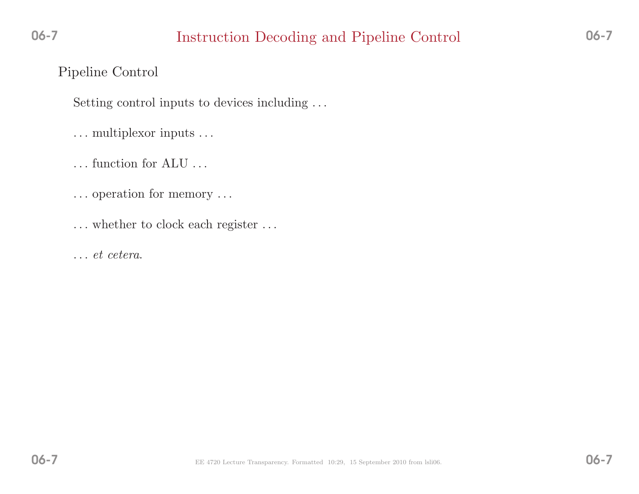# Instruction Decoding and Pipeline Control 06-7

### Pipeline Control

06-7

Setting control inputs to devices including ...

- ... multiplexor inputs ...
- ... function for ALU ...
- . . . operation for memory . . .
- . . . whether to clock each register . . .
- . . . et cetera.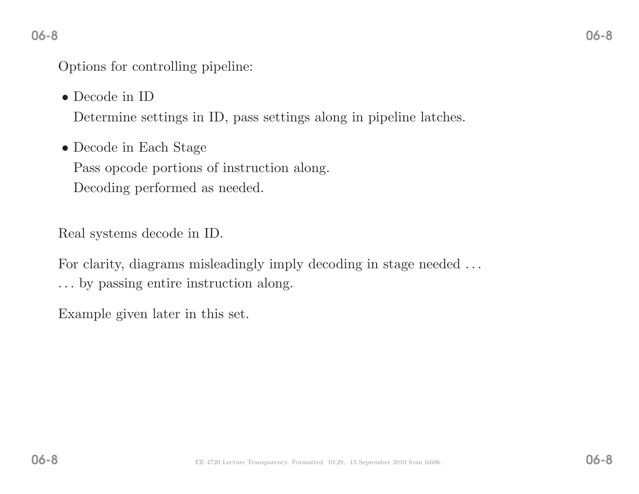Options for controlling <sup>p</sup>ipeline:

• Decode in ID

Determine settings in ID, pass settings along in <sup>p</sup>ipeline latches.

• Decode in Each Stage Pass opcode portions of instruction along. Decoding performed as needed.

Real systems decode in ID.

For clarity, diagrams misleadingly imply decoding in stage needed  $\dots$ 

... by passing entire instruction along.

Example <sup>g</sup>iven later in this set.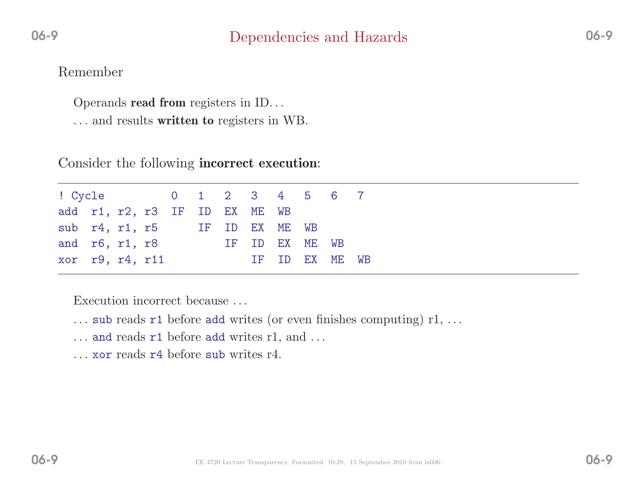### Dependencies and Hazards

Operands **read from** registers in ID...

... and results **written to** registers in WB.

Consider the following **incorrect execution**:

|  |                                                             |  |  |                               |                | WB                                                       |
|--|-------------------------------------------------------------|--|--|-------------------------------|----------------|----------------------------------------------------------|
|  | sub $r4$ , $r1$ , $r5$<br>and r6, r1, r8<br>xor r9, r4, r11 |  |  | add r1, r2, r3 IF ID EX ME WB | IF ID EX ME WB | ! Cycle 0 1 2 3 4 5 6 7<br>IF ID EX ME WB<br>TF ID EX ME |

Execution incorrect because ...

- $\dots$  sub reads  $r1$  before add writes (or even finishes computing)  $r1, \dots$
- $\dots$  and reads  $r1$  before add writes  $r1$ , and  $\dots$
- . . . xor reads r4 before sub writes r4.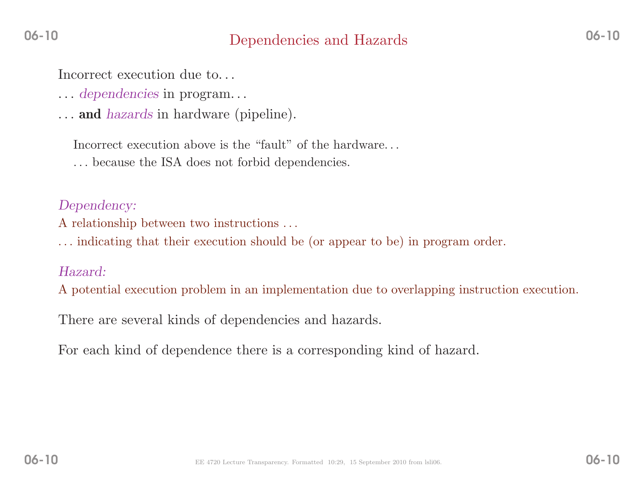### Dependencies and Hazards

Incorrect execution due to...

- ... dependencies in program...
- ... and hazards in hardware (pipeline).

Incorrect execution above is the "fault" of the hardware...

. . . because the ISA does not forbid dependencies.

#### Dependency:

<sup>A</sup> relationship between two instructions . . .

. . . indicating that their execution should be (or appear to be) in program order.

#### Hazard:

<sup>A</sup> potential execution problem in an implementation due to overlapping instruction execution.

There are several kinds of dependencies and hazards.

For each kind of dependence there is <sup>a</sup> corresponding kind of hazard.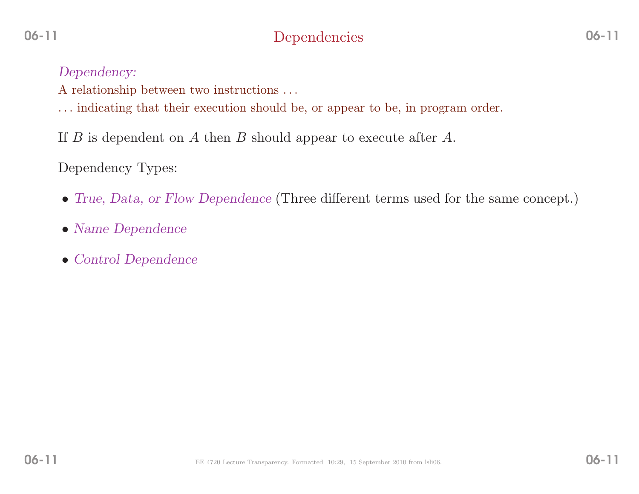# Dependencies

06-11

- <sup>A</sup> relationship between two instructions . . .
- . . . indicating that their execution should be, or appear to be, in program order.
- If  $B$  is dependent on  $A$  then  $B$  should appear to execute after  $A$ .

Dependency Types:

- True, Data, or Flow Dependence (Three different terms used for the same concept.)
- Name Dependence
- Control Dependence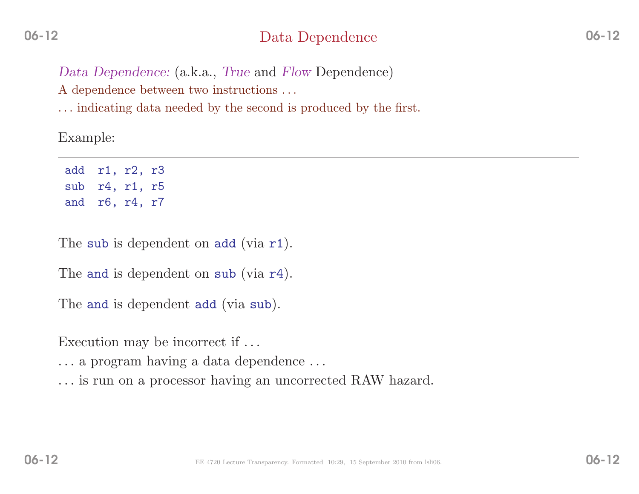### Data Dependence

Data Dependence: (a.k.a., True and Flow Dependence)

A dependence between two instructions ...

. . . indicating data needed by the second is produced by the first.

Example:

add r1, r2, r3 sub r4, r1, r5 and r6, r4, r7

The sub is dependent on add (via r1).

The and is dependent on sub (via r4).

The and is dependent add (via sub).

Execution may be incorrect if ...

... <sup>a</sup> program having <sup>a</sup> data dependence ...

... is run on <sup>a</sup> processor having an uncorrected RAW hazard.

06-12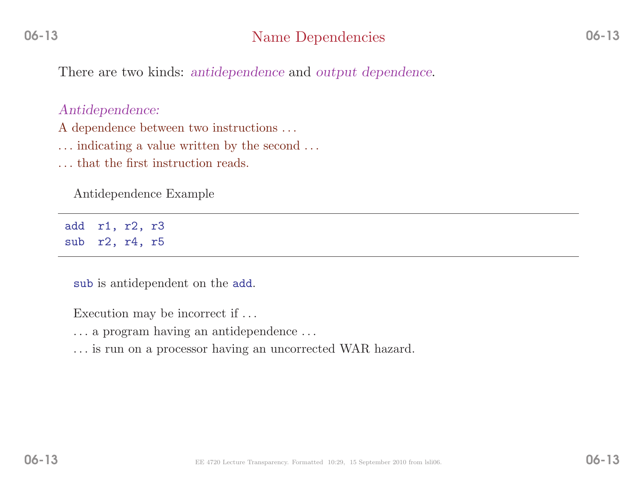There are two kinds: antidependence and output dependence.

#### Antidependence:

A dependence between two instructions ...

. . . indicating <sup>a</sup> value written by the second . . .

. . . that the first instruction reads.

Antidependence Example

add r1, r2, r3 sub r2, r4, r5

sub is antidependent on the add.

Execution may be incorrect if  $\dots$ 

- . . . <sup>a</sup> program having an antidependence . . .
- . . . is run on <sup>a</sup> processor having an uncorrected WAR hazard.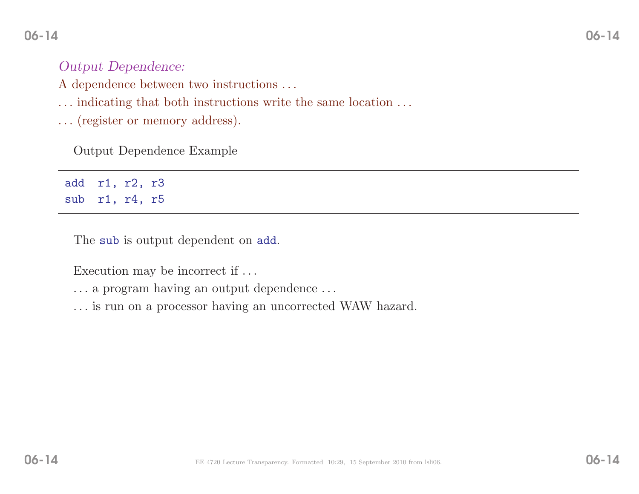### Output Dependence:

- A dependence between two instructions ...
- . . . indicating that both instructions write the same location . . .
- . . . (register or memory address).

Output Dependence Example

add r1, r2, r3 sub r1, r4, r5

The sub is output dependent on add.

Execution may be incorrect if  $\dots$ 

. . . <sup>a</sup> program having an output dependence . . .

. . . is run on <sup>a</sup> processor having an uncorrected WAW hazard.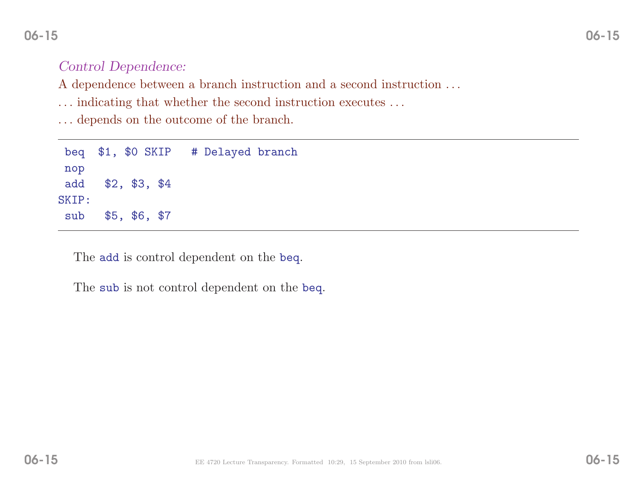### Control Dependence:

A dependence between a branch instruction and a second instruction  $\dots$ 

. . . indicating that whether the second instruction executes . . .

. . . depends on the outcome of the branch.

|       |                   |  | beq \$1, \$0 SKIP # Delayed branch |  |  |  |  |
|-------|-------------------|--|------------------------------------|--|--|--|--|
| nop   |                   |  |                                    |  |  |  |  |
|       | add \$2, \$3, \$4 |  |                                    |  |  |  |  |
| SKIP: |                   |  |                                    |  |  |  |  |
| sub   | \$5, \$6, \$7     |  |                                    |  |  |  |  |

The add is control dependent on the beq.

The sub is not control dependent on the beq.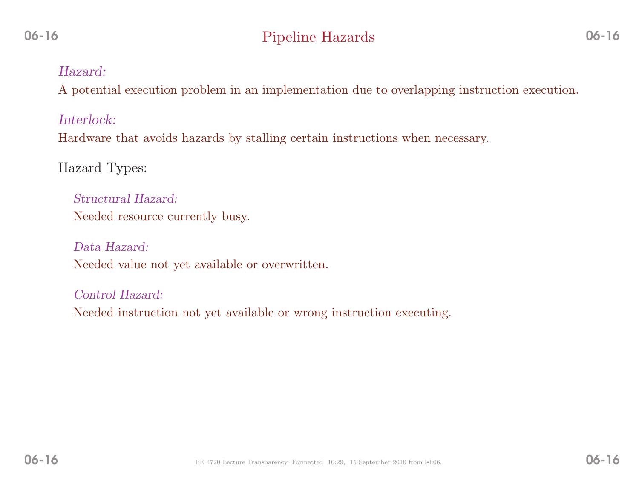#### Hazard:

<sup>A</sup> potential execution problem in an implementation due to overlapping instruction execution.

Interlock:

Hardware that avoids hazards by stalling certain instructions when necessary.

Hazard Types:

Structural Hazard: Needed resource currently busy.

Data Hazard: Needed value not yet available or overwritten.

Control Hazard: Needed instruction not yet available or wrong instruction executing.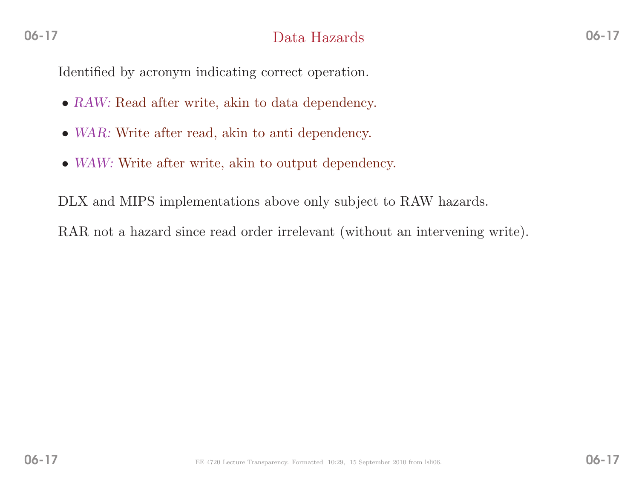Identified by acronym indicating correct operation.

- RAW: Read after write, akin to data dependency.
- WAR: Write after read, akin to anti dependency.
- WAW: Write after write, akin to output dependency.

DLX and MIPS implementations above only subject to RAW hazards.

RAR not <sup>a</sup> hazard since read order irrelevant (without an intervening write).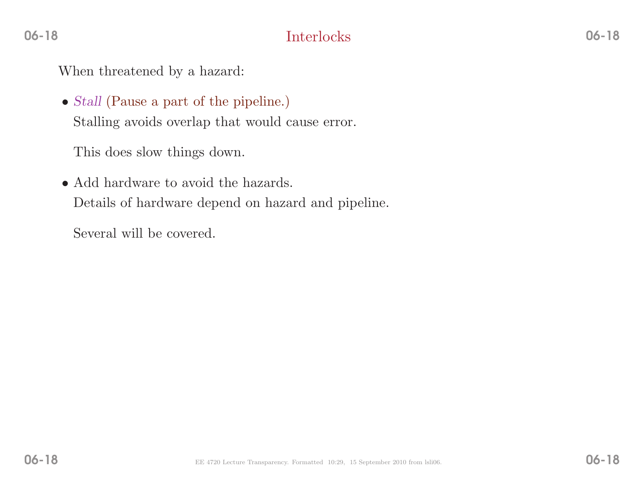When threatened by <sup>a</sup> hazard:

• Stall (Pause <sup>a</sup> part of the <sup>p</sup>ipeline.) Stalling avoids overlap that would cause error.

This does slow things down.

• Add hardware to avoid the hazards. Details of hardware depend on hazard and <sup>p</sup>ipeline.

Several will be covered.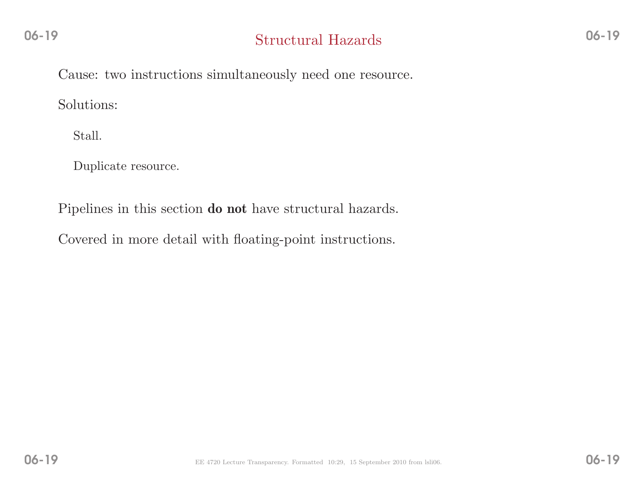Cause: two instructions simultaneously need one resource.

Solutions:

Stall.

Duplicate resource.

Pipelines in this section **do not** have structural hazards.

Covered in more detail with floating-point instructions.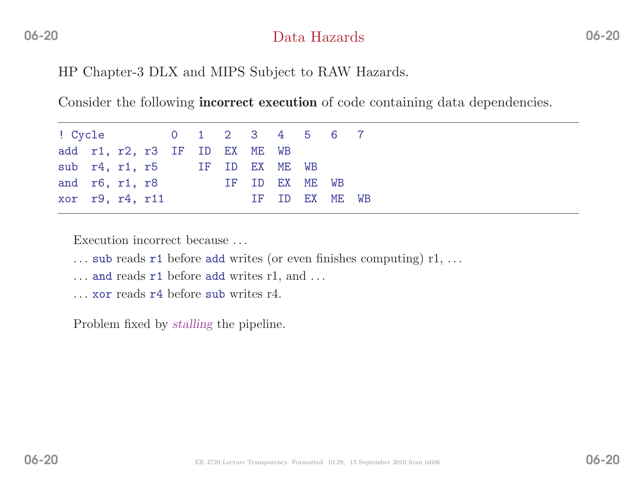### Data Hazards

HP Chapter-3 DLX and MIPS Subject to RAW Hazards.

Consider the following **incorrect execution** of code containing data dependencies.

|  | and $r6$ , $r1$ , $r8$<br>xor r9, r4, r11 |  |  | add r1, r2, r3 IF ID EX ME WB | sub r4, r1, r5 IF ID EX ME WB | ! Cycle 0 1 2 3 4 5 6 7<br>IF ID EX ME WB<br>IF ID EX ME WB |
|--|-------------------------------------------|--|--|-------------------------------|-------------------------------|-------------------------------------------------------------|

Execution incorrect because ...

- $\dots$  sub reads  $r1$  before add writes (or even finishes computing)  $r1, \dots$
- $\dots$  and reads  $r1$  before add writes  $r1$ , and  $\dots$
- . . . xor reads r4 before sub writes r4.

Problem fixed by *stalling* the pipeline.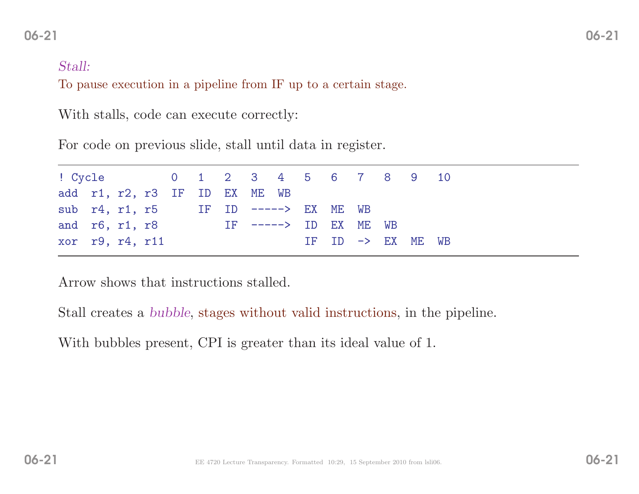# $1$  06-21

#### Stall:

To pause execution in <sup>a</sup> <sup>p</sup>ipeline from IF up to <sup>a</sup> certain stage.

With stalls, code can execute correctly:

For code on previous slide, stall until data in register.

| ! Cycle 0 1 2 3 4 5 6 7 8 9 10               |  |  |  |  |  |                              |  |  |
|----------------------------------------------|--|--|--|--|--|------------------------------|--|--|
| add r1, r2, r3 IF ID EX ME WB                |  |  |  |  |  |                              |  |  |
| sub $r4$ , $r1$ , $r5$ IF ID -----> EX ME WB |  |  |  |  |  |                              |  |  |
| and $r6$ , $r1$ , $r8$ IF $--->$ ID EX ME WB |  |  |  |  |  |                              |  |  |
| xor r9, r4, r11                              |  |  |  |  |  | IF ID $\rightarrow$ EX ME WB |  |  |

Arrow shows that instructions stalled.

Stall creates <sup>a</sup> bubble, stages without valid instructions, in the <sup>p</sup>ipeline.

With bubbles present, CPI is greater than its ideal value of 1.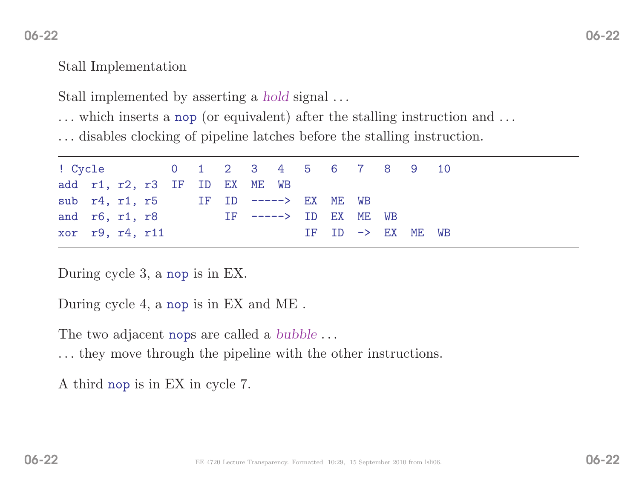### Stall Implementation

Stall implemented by asserting a *hold* signal ...

... which inserts <sup>a</sup> nop (or equivalent) after the stalling instruction and ...

... disables clocking of <sup>p</sup>ipeline latches before the stalling instruction.

| ! Cycle 0 1 2 3 4 5 6 7 8 9 10              |  |  |  |  |                                  |  |                   |  |
|---------------------------------------------|--|--|--|--|----------------------------------|--|-------------------|--|
| add r1, r2, r3 IF ID EX ME WB               |  |  |  |  |                                  |  |                   |  |
| sub $r4$ , $r1$ , $r5$ IF ID $---> EXME WB$ |  |  |  |  |                                  |  |                   |  |
| and $r6, r1, r8$                            |  |  |  |  | $IF$ $---$ > $ID$ $EX$ $ME$ $WB$ |  |                   |  |
| xor r9, r4, r11                             |  |  |  |  |                                  |  | IF ID -> EX ME WB |  |

During cycle 3, <sup>a</sup> nop is in EX.

During cycle 4, <sup>a</sup> nop is in EX and ME .

The two adjacent nops are called a  $bubble \dots$ 

... they move through the <sup>p</sup>ipeline with the other instructions.

<sup>A</sup> third nop is in EX in cycle 7.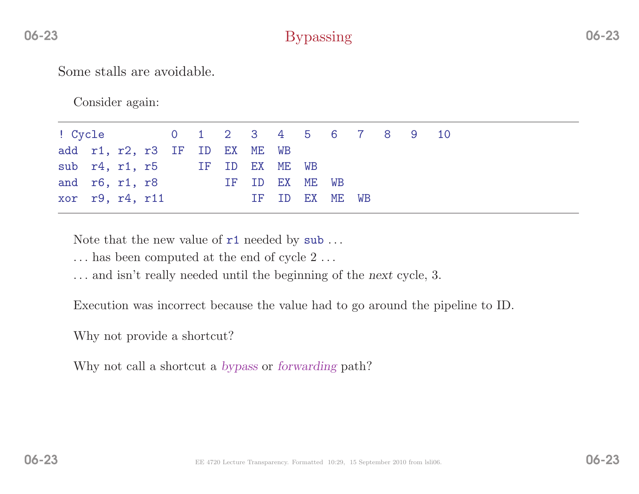# Bypassing

Some stalls are avoidable.

Consider again:

| ! Cycle 0 1 2 3 4 5 6 7 8 9 10 |  |  |  |  |                |  |  |  |
|--------------------------------|--|--|--|--|----------------|--|--|--|
| add r1, r2, r3 IF ID EX ME WB  |  |  |  |  |                |  |  |  |
| sub r4, r1, r5 IF ID EX ME WB  |  |  |  |  |                |  |  |  |
| and r6, r1, r8 IF ID EX ME WB  |  |  |  |  |                |  |  |  |
| xor r9, r4, r11                |  |  |  |  | IF ID EX ME WB |  |  |  |

Note that the new value of  $r1$  needed by  $\text{sub} \dots$ 

- ... has been computed at the end of cycle 2...
- . . . and isn't really needed until the beginning of the next cycle, 3.

Execution was incorrect because the value had to go around the <sup>p</sup>ipeline to ID.

Why not provide <sup>a</sup> shortcut?

Why not call a shortcut a *bypass* or *forwarding* path?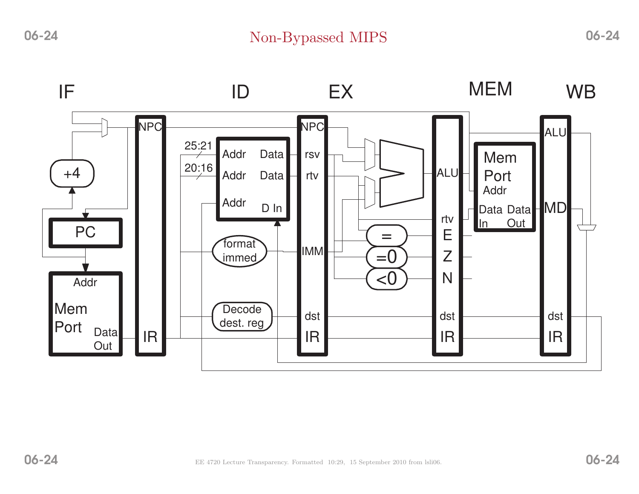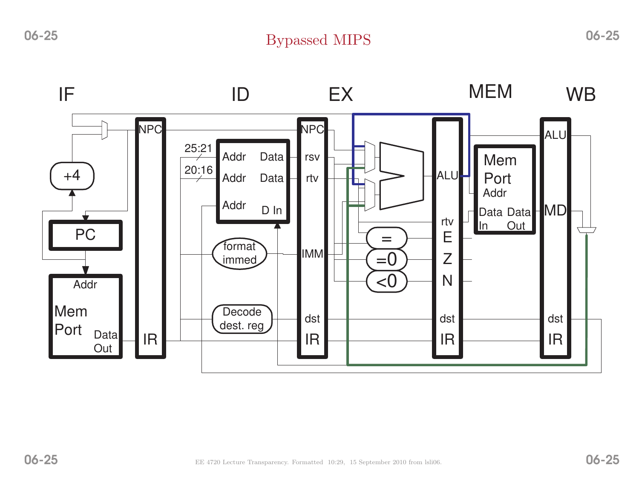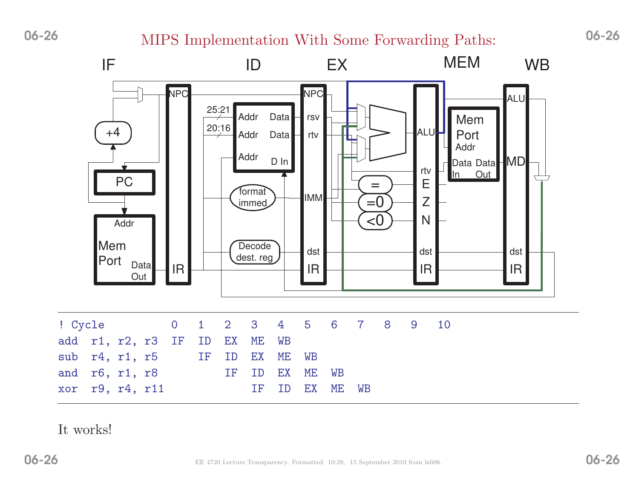# MIPS Implementation With Some Forwarding Paths: 06-26



#### It works!

06-26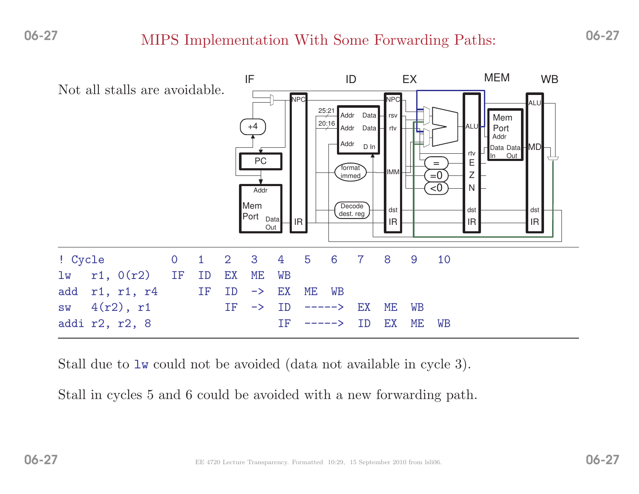# MIPS Implementation With Some Forwarding Paths: 06-27



Stall due to lw could not be avoided (data not available in cycle 3).

Stall in cycles <sup>5</sup> and <sup>6</sup> could be avoided with <sup>a</sup> new forwarding path.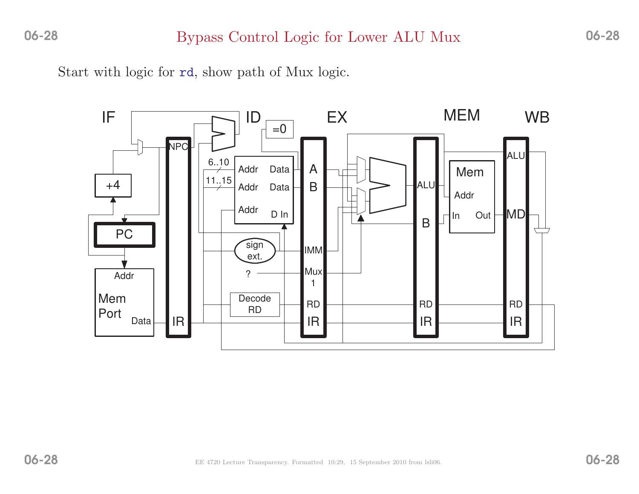Start with logic for rd, show path of Mux logic.

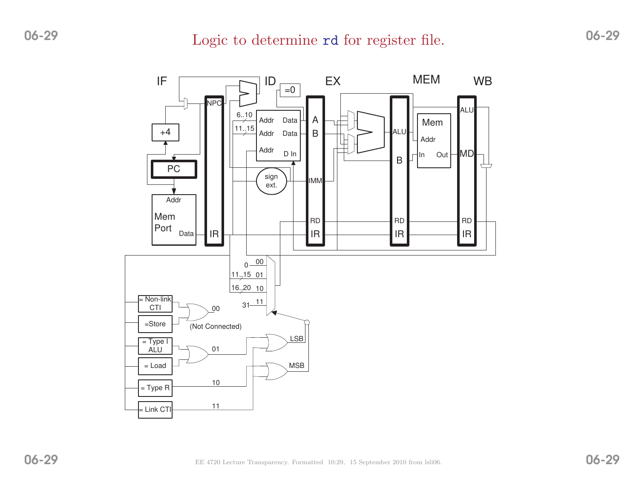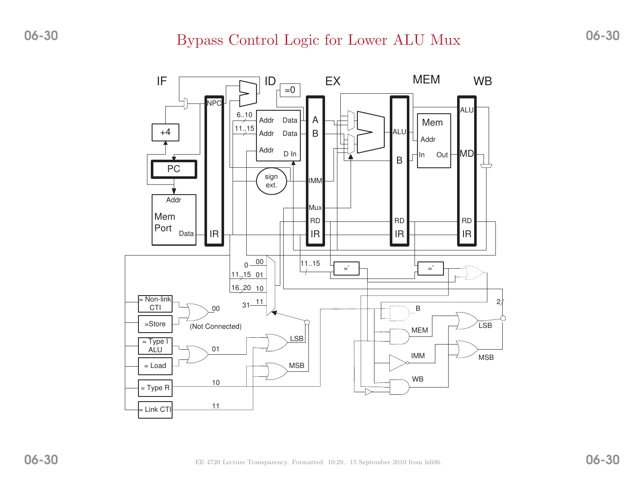#### Bypass Control Logic for Lower ALU Mux

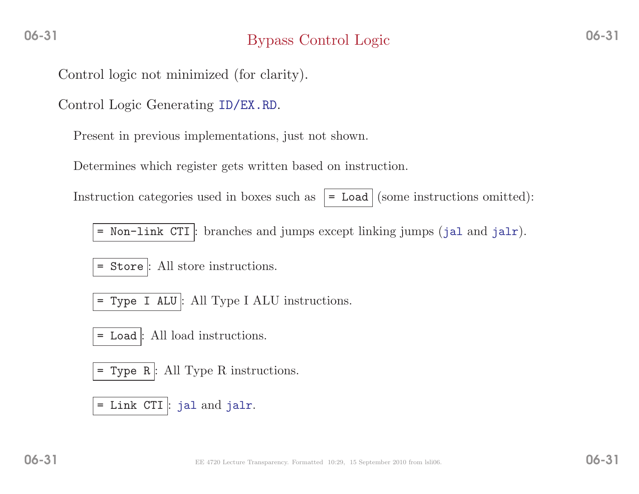# Bypass Control Logic

Control logic not minimized (for clarity).

Control Logic Generating ID/EX.RD.

Present in previous implementations, just not shown.

Determines which register gets written based on instruction.

Instruction categories used in boxes such as  $\mathcal{L} = \text{Load}$  (some instructions omitted):

= Non-link CTI : branches and jumps except linking jumps (jal and jalr).

= Store : All store instructions.

= Type <sup>I</sup> ALU : All Type <sup>I</sup> ALU instructions.

= Load : All load instructions.

= Type <sup>R</sup> : All Type <sup>R</sup> instructions.

= Link CTI : jal and jalr.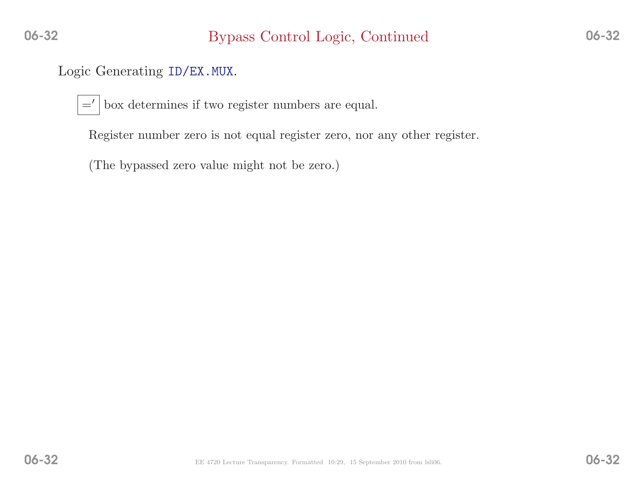# Logic Generating ID/EX.MUX.

=′box determines if two register numbers are equal.

Register number zero is not equa<sup>l</sup> register zero, nor any other register.

(The bypassed zero value might not be zero.)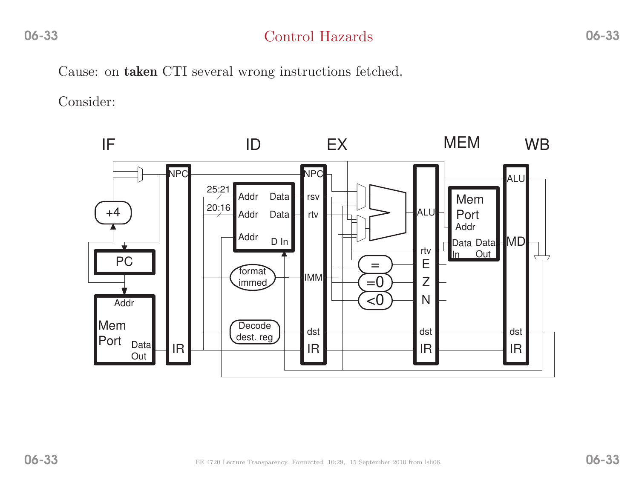### Control Hazards

Cause: on **taken** CTI several wrong instructions fetched.

Consider:

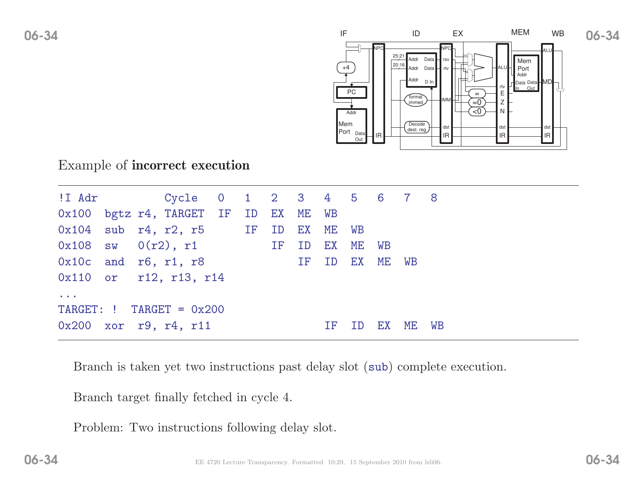

#### Example of incorrect execution

|                      |  | 0x100 bgtz r4, TARGET IF ID EX ME WB          |  |  |     |    |    |    |
|----------------------|--|-----------------------------------------------|--|--|-----|----|----|----|
|                      |  | $0x104$ sub $r4$ , $r2$ , $r5$ IF ID EX ME WB |  |  |     |    |    |    |
|                      |  | $0x108$ sw $0(r2)$ , r1 IF ID EX ME WB        |  |  |     |    |    |    |
|                      |  | $0x10c$ and $r6$ , $r1$ , $r8$ IF ID EX ME WB |  |  |     |    |    |    |
|                      |  | 0x110 or r12, r13, r14                        |  |  |     |    |    |    |
| $\sim$ $\sim$ $\sim$ |  |                                               |  |  |     |    |    |    |
|                      |  | TARGET: $!$ TARGET = $0x200$                  |  |  |     |    |    |    |
|                      |  | 0x200 xor r9, r4, r11                         |  |  | TF. | EX | ME | WB |

Branch is taken yet two instructions past delay slot (sub) complete execution.

Branch target finally fetched in cycle 4.

Problem: Two instructions following delay slot.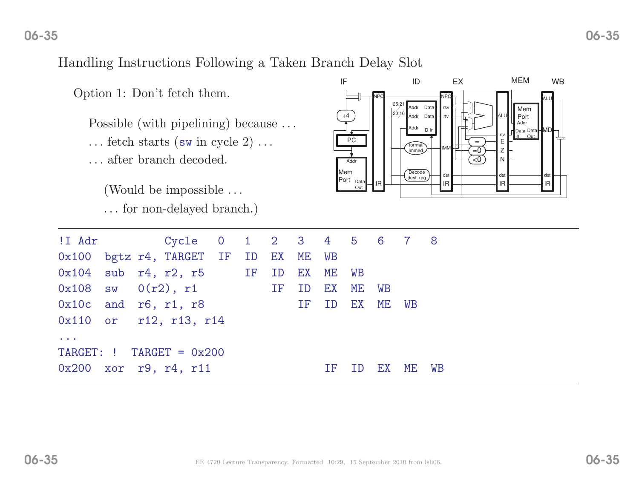#### Handling Instructions Following <sup>a</sup> Taken Branch Delay Slot

Option 1: Don't fetch them.

Possible (with pipelining) because ...  $\dots$  fetch starts (sw in cycle 2)  $\dots$ . . . after branch decoded.

(Would be impossible . . . . . . for non-delayed branch.)



| !I Adr<br>Cycle 0 1 2 3 4 5 6 7 8<br>0x100 bgtz r4, TARGET IF ID EX ME WB<br>$0x104$ sub $r4$ , $r2$ , $r5$ IF ID EX ME WB<br>$0x108$ sw $0(r2)$ , r1 IF<br>${\rm EX}$<br>ME<br>ID<br>WB<br>$0x10c$ and $r6$ , $r1$ , $r8$<br>$\mathop{\rm EX}\nolimits$<br>ME<br>ID<br>IF<br>WB<br>0x110 or r12, r13, r14<br>$\bullet\qquad \bullet\qquad \bullet$<br>$TARGE: !$ TARGET = 0x200<br>$0x200$ xor r9, r4, r11<br>WB<br>ME.<br>EX<br>ΙF |  |  |  |  |  |  |  |
|--------------------------------------------------------------------------------------------------------------------------------------------------------------------------------------------------------------------------------------------------------------------------------------------------------------------------------------------------------------------------------------------------------------------------------------|--|--|--|--|--|--|--|
|                                                                                                                                                                                                                                                                                                                                                                                                                                      |  |  |  |  |  |  |  |
|                                                                                                                                                                                                                                                                                                                                                                                                                                      |  |  |  |  |  |  |  |
|                                                                                                                                                                                                                                                                                                                                                                                                                                      |  |  |  |  |  |  |  |
|                                                                                                                                                                                                                                                                                                                                                                                                                                      |  |  |  |  |  |  |  |
|                                                                                                                                                                                                                                                                                                                                                                                                                                      |  |  |  |  |  |  |  |
|                                                                                                                                                                                                                                                                                                                                                                                                                                      |  |  |  |  |  |  |  |
|                                                                                                                                                                                                                                                                                                                                                                                                                                      |  |  |  |  |  |  |  |
|                                                                                                                                                                                                                                                                                                                                                                                                                                      |  |  |  |  |  |  |  |
|                                                                                                                                                                                                                                                                                                                                                                                                                                      |  |  |  |  |  |  |  |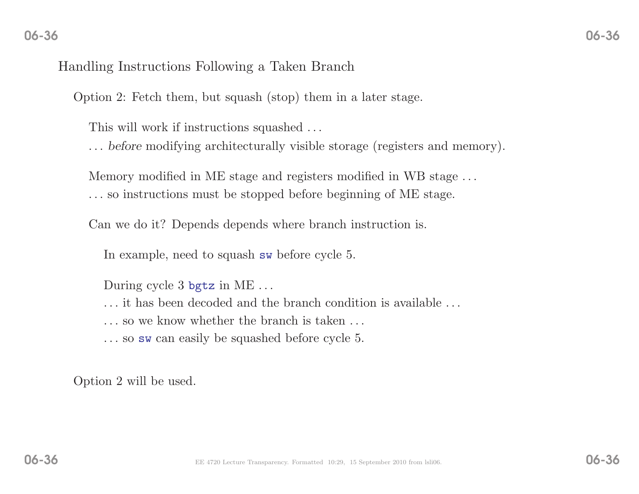#### Handling Instructions Following <sup>a</sup> Taken Branch

Option 2: Fetch them, but squas<sup>h</sup> (stop) them in <sup>a</sup> later stage.

This will work if instructions squashed . . .

. . . before modifying architecturally visible storage (registers and memory).

Memory modified in ME stage and registers modified in WB stage . . . . . . so instructions must be stopped before beginning of ME stage.

Can we do it? Depends depends where branch instruction is.

In example, need to squas<sup>h</sup> sw before cycle 5.

During cycle <sup>3</sup> bgtz in ME. . .

. . . it has been decoded and the branch condition is available . . .

. . . so we know whether the branch is taken . . .

. . . so sw can easily be squashed before cycle 5.

Option <sup>2</sup> will be used.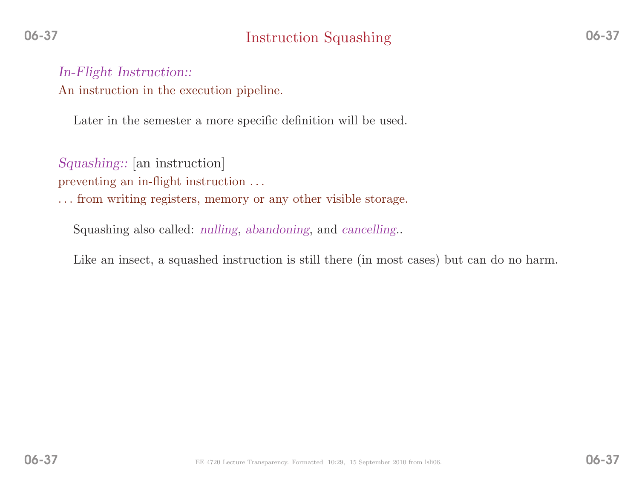# Instruction Squashing

In-Flight Instruction:: An instruction in the execution <sup>p</sup>ipeline.

Later in the semester <sup>a</sup> more specific definition will be used.

Squashing:: [an instruction]

preventing an in-flight instruction ...

. . . from writing registers, memory or any other visible storage.

Squashing also called: *nulling*, *abandoning*, and *cancelling*..

Like an insect, <sup>a</sup> squashed instruction is still there (in most cases) but can do no harm.

06-37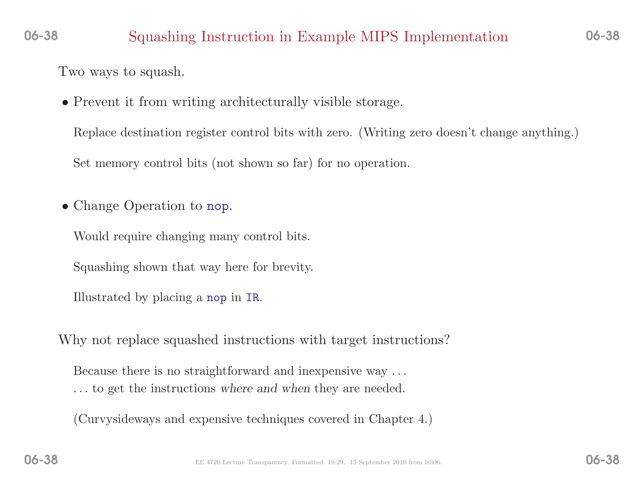#### 06-38Squashing Instruction in Example MIPS Implementation

Two ways to squash.

• Prevent it from writing architecturally visible storage.

Replace destination register control bits with zero. (Writing zero doesn't change anything.)Set memory control bits (not shown so far) for no operation.

• Change Operation to nop.

Would require changing many control bits.

Squashing shown that way here for brevity.

Illustrated by <sup>p</sup>lacing <sup>a</sup> nop in IR.

Why not replace squashed instructions with target instructions?

Because there is no straightforward and inexpensive way . . . . . . to get the instructions where and when they are needed.

(Curvysideways and expensive techniques covered in Chapter 4.)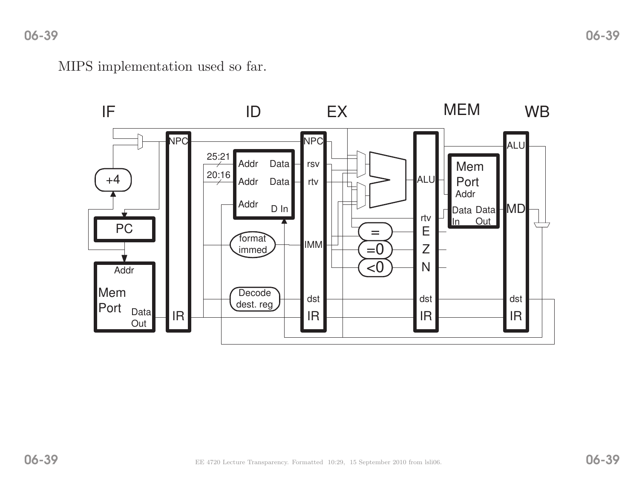MIPS implementation used so far.

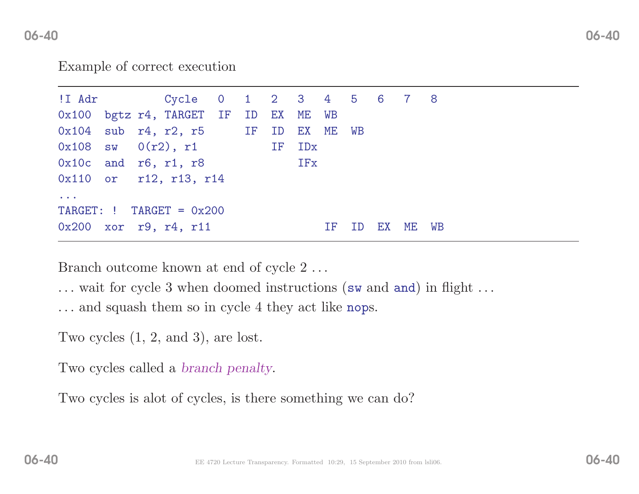#### Example of correct execution

| !I Adr               |  | Cycle 0 1 2 3 4 5 6 7 8                       |  |     |     |    |          |  |
|----------------------|--|-----------------------------------------------|--|-----|-----|----|----------|--|
|                      |  | 0x100 bgtz r4, TARGET IF ID EX ME WB          |  |     |     |    |          |  |
|                      |  | $0x104$ sub $r4$ , $r2$ , $r5$ IF ID EX ME WB |  |     |     |    |          |  |
|                      |  | $0x108$ sw $0(r2)$ , r1 IF IDx                |  |     |     |    |          |  |
|                      |  | $0x10c$ and $r6$ , $r1$ , $r8$                |  | IFx |     |    |          |  |
|                      |  | 0x110 or r12, r13, r14                        |  |     |     |    |          |  |
| $\sim$ $\sim$ $\sim$ |  |                                               |  |     |     |    |          |  |
|                      |  | $TARGE: !$ TARGET = $0x200$                   |  |     |     |    |          |  |
|                      |  | 0x200 xor r9, r4, r11                         |  |     | IF. | ID | EX ME WB |  |
|                      |  |                                               |  |     |     |    |          |  |

Branch outcome known at end of cycle 2...

... wait for cycle 3 when doomed instructions (sw and and) in flight ...

... and squas<sup>h</sup> them so in cycle <sup>4</sup> they act like nops.

Two cycles (1, 2, and 3), are lost.

Two cycles called <sup>a</sup> branch penalty.

Two cycles is alot of cycles, is there something we can do?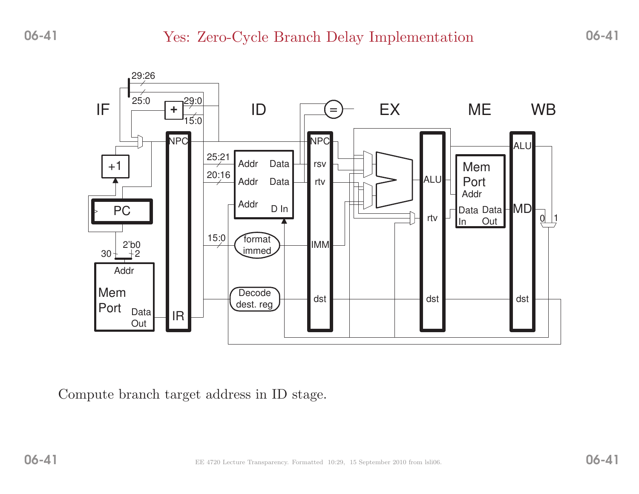

Compute branch target address in ID stage.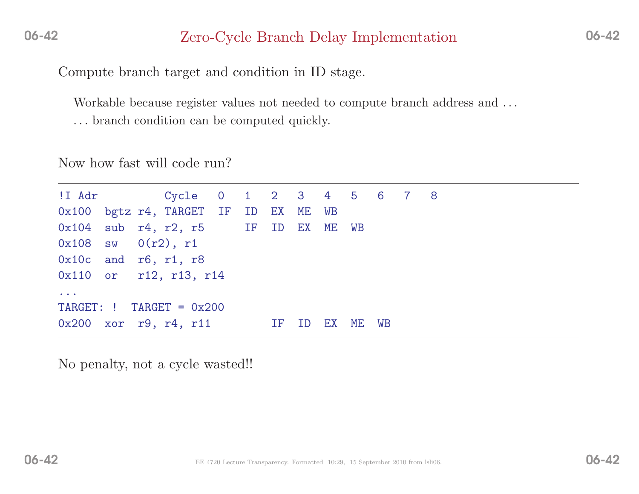### Zero-Cycle Branch Delay Implementation

Compute branch target and condition in ID stage.

Workable because register values not needed to compute branch address and . . .

. . . branch condition can be computed quickly.

Now how fast will code run?

!I Adr Cycle <sup>0</sup> <sup>1</sup> <sup>2</sup> <sup>3</sup> <sup>4</sup> <sup>5</sup> <sup>6</sup> <sup>7</sup> <sup>8</sup> 0x100 bgtz r4, TARGET IF ID EX ME WB<br>0x104 sub r4. r2. r5 IF ID EX ME sub r4, r2, r5 IF ID EX ME WB<br>sw  $0(r2)$ , r1  $0x108$  sw<br> $0x10c$  and 0x10c and r6, r1, r8<br>0x110 or r12, r13, 0x110 or r12, r13, r14 ...TARGET: !  $TARGE = 0x200$ 0x200 xor r9, r4, r11 IF ID EX ME WB

No penalty, not <sup>a</sup> cycle wasted!!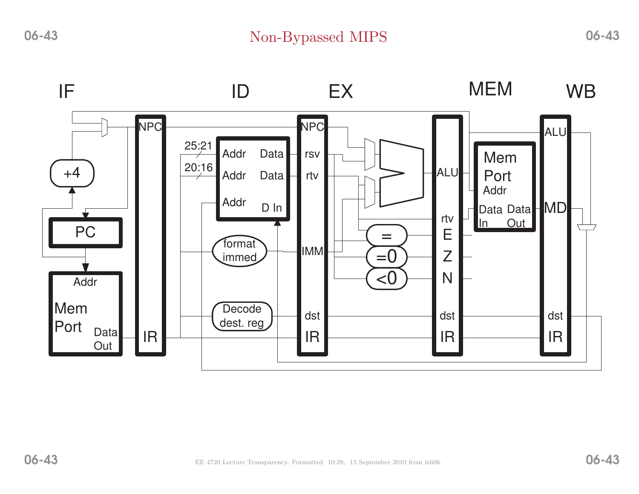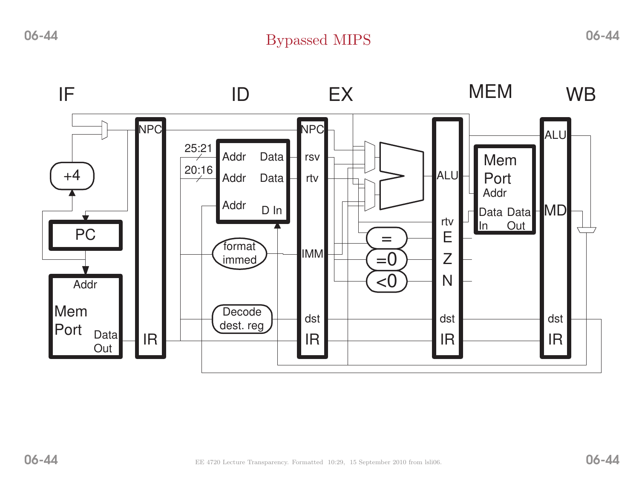